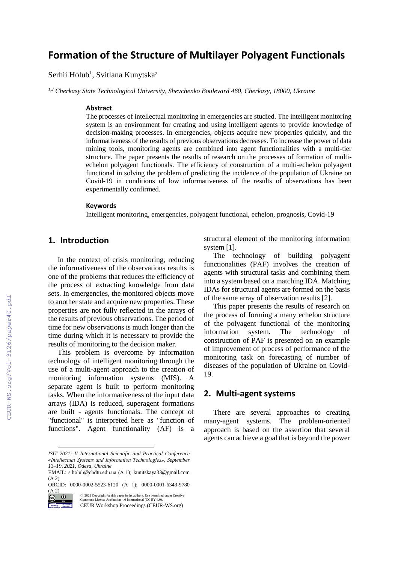# **Formation of the Structure of Multilayer Polyagent Functionals**

 $S$ erhii Holub $^1$ , Svitlana Kunytska $^2$ 

*1,2 Cherkasy State Technological University, Shevchenko Boulevard 460, Cherkasy, 18000, Ukraine*

#### **Abstract**

The processes of intellectual monitoring in emergencies are studied. The intelligent monitoring system is an environment for creating and using intelligent agents to provide knowledge of decision-making processes. In emergencies, objects acquire new properties quickly, and the informativeness of the results of previous observations decreases. To increase the power of data mining tools, monitoring agents are combined into agent functionalities with a multi-tier structure. The paper presents the results of research on the processes of formation of multiechelon polyagent functionals. The efficiency of construction of a multi-echelon polyagent functional in solving the problem of predicting the incidence of the population of Ukraine on Covid-19 in conditions of low informativeness of the results of observations has been experimentally confirmed.

#### **Keywords 1**

Intelligent monitoring, emergencies, polyagent functional, echelon, prognosis, Covid-19

### **1. Introduction**

In the context of crisis monitoring, reducing the informativeness of the observations results is one of the problems that reduces the efficiency of the process of extracting knowledge from data sets. In emergencies, the monitored objects move to another state and acquire new properties. These properties are not fully reflected in the arrays of the results of previous observations. The period of time for new observations is much longer than the time during which it is necessary to provide the results of monitoring to the decision maker.

This problem is overcome by information technology of intelligent monitoring through the use of a multi-agent approach to the creation of monitoring information systems (MIS). A separate agent is built to perform monitoring tasks. When the informativeness of the input data arrays (IDA) is reduced, superagent formations are built - agents functionals. The concept of "functional" is interpreted here as "function of functions". Agent functionality (AF) is a

ORCID: 0000-0002-5523-6120 (А 1); 0000-0001-6343-9780  $(A 2)$ <br>(co)  $(D)$ 



structural element of the monitoring information system [1].

The technology of building polyagent functionalities (PAF) involves the creation of agents with structural tasks and combining them into a system based on a matching IDA. Matching IDAs for structural agents are formed on the basis of the same array of observation results [2].

This paper presents the results of research on the process of forming a many echelon structure of the polyagent functional of the monitoring information system. The technology of construction of PAF is presented on an example of improvement of process of performance of the monitoring task on forecasting of number of diseases of the population of Ukraine on Covid-19.

## **2. Multi-agent systems**

There are several approaches to creating many-agent systems. The problem-oriented approach is based on the assertion that several agents can achieve a goal that is beyond the power

*ISIT 2021: II International Scientific and Practical Conference «Intellectual Systems and Information Technologies», September 13–19, 2021, Odesa, Ukraine*

EMAIL: s.holub@chdtu.edu.ua (А 1); kunitskaya33@gmail.com (А 2)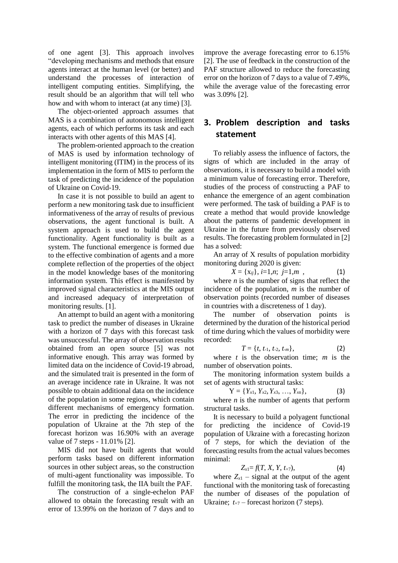of one agent [3]. This approach involves "developing mechanisms and methods that ensure agents interact at the human level (or better) and understand the processes of interaction of intelligent computing entities. Simplifying, the result should be an algorithm that will tell who how and with whom to interact (at any time) [3].

The object-oriented approach assumes that MAS is a combination of autonomous intelligent agents, each of which performs its task and each interacts with other agents of this MAS [4].

The problem-oriented approach to the creation of MAS is used by information technology of intelligent monitoring (ITIM) in the process of its implementation in the form of MIS to perform the task of predicting the incidence of the population of Ukraine on Covid-19.

In case it is not possible to build an agent to perform a new monitoring task due to insufficient informativeness of the array of results of previous observations, the agent functional is built. A system approach is used to build the agent functionality. Agent functionality is built as a system. The functional emergence is formed due to the effective combination of agents and a more complete reflection of the properties of the object in the model knowledge bases of the monitoring information system. This effect is manifested by improved signal characteristics at the MIS output and increased adequacy of interpretation of monitoring results. [1].

An attempt to build an agent with a monitoring task to predict the number of diseases in Ukraine with a horizon of 7 days with this forecast task was unsuccessful. The array of observation results obtained from an open source [5] was not informative enough. This array was formed by limited data on the incidence of Covid-19 abroad, and the simulated trait is presented in the form of an average incidence rate in Ukraine. It was not possible to obtain additional data on the incidence of the population in some regions, which contain different mechanisms of emergency formation. The error in predicting the incidence of the population of Ukraine at the 7th step of the forecast horizon was 16.90% with an average value of 7 steps - 11.01% [2].

MIS did not have built agents that would perform tasks based on different information sources in other subject areas, so the construction of multi-agent functionality was impossible. To fulfill the monitoring task, the IIA built the PAF.

The construction of a single-echelon PAF allowed to obtain the forecasting result with an error of 13.99% on the horizon of 7 days and to improve the average forecasting error to 6.15% [2]. The use of feedback in the construction of the PAF structure allowed to reduce the forecasting error on the horizon of 7 days to a value of 7.49%, while the average value of the forecasting error was 3.09% [2].

# **3. Problem description and tasks statement**

To reliably assess the influence of factors, the signs of which are included in the array of observations, it is necessary to build a model with a minimum value of forecasting error. Therefore, studies of the process of constructing a PAF to enhance the emergence of an agent combination were performed. The task of building a PAF is to create a method that would provide knowledge about the patterns of pandemic development in Ukraine in the future from previously observed results. The forecasting problem formulated in [2] has a solved:

An array of X results of population morbidity monitoring during 2020 is given:

$$
X = \{x_{ij}\}, i=1,n; j=1,m , \qquad (1)
$$

where  $n$  is the number of signs that reflect the incidence of the population, *m* is the number of observation points (recorded number of diseases in countries with a discreteness of 1 day).

The number of observation points is determined by the duration of the historical period of time during which the values of morbidity were recorded:

$$
T = \{t, t_{-1}, t_{-2}, t_{-m}\},\tag{2}
$$

where *t* is the observation time; *m* is the number of observation points.

The monitoring information system builds a set of agents with structural tasks:

$$
Y = \{Y_{x1}, Y_{x2}, Y_{x3}, \ldots, Y_{xn}\},\tag{3}
$$

where  $n$  is the number of agents that perform structural tasks.

It is necessary to build a polyagent functional for predicting the incidence of Covid-19 population of Ukraine with a forecasting horizon of 7 steps, for which the deviation of the forecasting results from the actual values becomes minimal:

$$
Z_{x1} = f(T, X, Y, t_{+7}), \qquad (4)
$$

where  $Z_{x1}$  – signal at the output of the agent functional with the monitoring task of forecasting the number of diseases of the population of Ukraine;  $t_{+7}$  – forecast horizon (7 steps).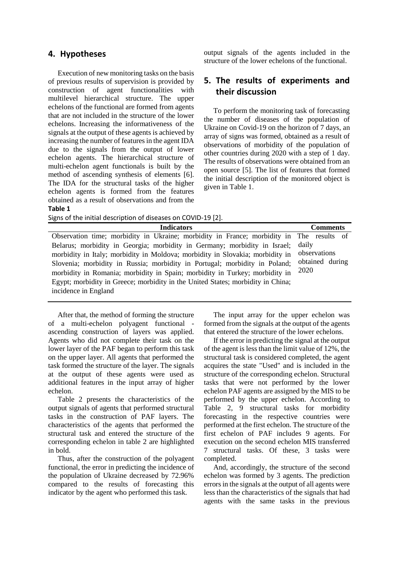#### **4. Hypotheses**

Execution of new monitoring tasks on the basis of previous results of supervision is provided by construction of agent functionalities with multilevel hierarchical structure. The upper echelons of the functional are formed from agents that are not included in the structure of the lower echelons. Increasing the informativeness of the signals at the output of these agents is achieved by increasing the number of features in the agent IDA due to the signals from the output of lower echelon agents. The hierarchical structure of multi-echelon agent functionals is built by the method of ascending synthesis of elements [6]. The IDA for the structural tasks of the higher echelon agents is formed from the features obtained as a result of observations and from the **Table 1**

output signals of the agents included in the structure of the lower echelons of the functional.

# **5. The results of experiments and their discussion**

To perform the monitoring task of forecasting the number of diseases of the population of Ukraine on Covid-19 on the horizon of 7 days, an array of signs was formed, obtained as a result of observations of morbidity of the population of other countries during 2020 with a step of 1 day. The results of observations were obtained from an open source [5]. The list of features that formed the initial description of the monitored object is given in Table 1.

Signs of the initial description of diseases on COVID-19 [2].

| <b>Indicators</b>                                                                        | <b>Comments</b> |  |  |
|------------------------------------------------------------------------------------------|-----------------|--|--|
| Observation time; morbidity in Ukraine; morbidity in France; morbidity in The results of |                 |  |  |
| Belarus; morbidity in Georgia; morbidity in Germany; morbidity in Israel;                | daily           |  |  |
| morbidity in Italy; morbidity in Moldova; morbidity in Slovakia; morbidity in            | observations    |  |  |
| Slovenia; morbidity in Russia; morbidity in Portugal; morbidity in Poland;               | obtained during |  |  |
| morbidity in Romania; morbidity in Spain; morbidity in Turkey; morbidity in              | 2020            |  |  |
| Egypt; morbidity in Greece; morbidity in the United States; morbidity in China;          |                 |  |  |
| incidence in England                                                                     |                 |  |  |

After that, the method of forming the structure of a multi-echelon polyagent functional ascending construction of layers was applied. Agents who did not complete their task on the lower layer of the PAF began to perform this task on the upper layer. All agents that performed the task formed the structure of the layer. The signals at the output of these agents were used as additional features in the input array of higher echelon.

Table 2 presents the characteristics of the output signals of agents that performed structural tasks in the construction of PAF layers. The characteristics of the agents that performed the structural task and entered the structure of the corresponding echelon in table 2 are highlighted in bold.

Thus, after the construction of the polyagent functional, the error in predicting the incidence of the population of Ukraine decreased by 72.96% compared to the results of forecasting this indicator by the agent who performed this task.

The input array for the upper echelon was formed from the signals at the output of the agents that entered the structure of the lower echelons.

If the error in predicting the signal at the output of the agent is less than the limit value of 12%, the structural task is considered completed, the agent acquires the state "Used" and is included in the structure of the corresponding echelon. Structural tasks that were not performed by the lower echelon PAF agents are assigned by the MIS to be performed by the upper echelon. According to Table 2, 9 structural tasks for morbidity forecasting in the respective countries were performed at the first echelon. The structure of the first echelon of PAF includes 9 agents. For execution on the second echelon MIS transferred 7 structural tasks. Of these, 3 tasks were completed.

And, accordingly, the structure of the second echelon was formed by 3 agents. The prediction errors in the signals at the output of all agents were less than the characteristics of the signals that had agents with the same tasks in the previous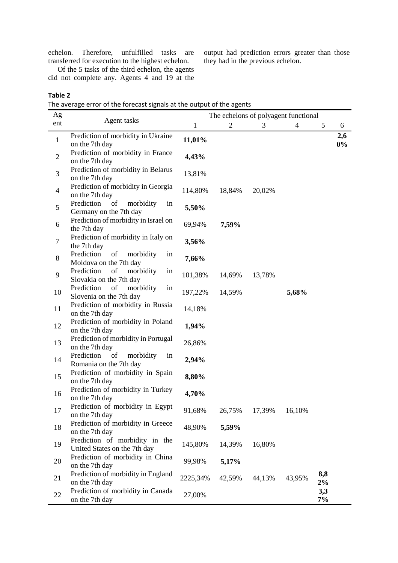echelon. Therefore, unfulfilled tasks are transferred for execution to the highest echelon.

output had prediction errors greater than those they had in the previous echelon.

Of the 5 tasks of the third echelon, the agents did not complete any. Agents 4 and 19 at the

### **Table 2**

The average error of the forecast signals at the output of the agents

| Ag             |                                                                | The echelons of polyagent functional |                |        |                |              |              |
|----------------|----------------------------------------------------------------|--------------------------------------|----------------|--------|----------------|--------------|--------------|
| ent            | Agent tasks                                                    | $\mathbf{1}$                         | $\overline{2}$ | 3      | $\overline{4}$ | 5            | 6            |
| $\mathbf{1}$   | Prediction of morbidity in Ukraine<br>on the 7th day           | 11,01%                               |                |        |                |              | 2,6<br>$0\%$ |
| $\mathbf{2}$   | Prediction of morbidity in France<br>on the 7th day            | 4,43%                                |                |        |                |              |              |
| 3              | Prediction of morbidity in Belarus<br>on the 7th day           | 13,81%                               |                |        |                |              |              |
| $\overline{4}$ | Prediction of morbidity in Georgia<br>on the 7th day           | 114,80%                              | 18,84%         | 20,02% |                |              |              |
| 5              | Prediction<br>of<br>morbidity<br>in<br>Germany on the 7th day  | 5,50%                                |                |        |                |              |              |
| 6              | Prediction of morbidity in Israel on<br>the 7th day            | 69,94%                               | 7,59%          |        |                |              |              |
| $\tau$         | Prediction of morbidity in Italy on<br>the 7th day             | 3,56%                                |                |        |                |              |              |
| 8              | Prediction<br>of<br>morbidity<br>in<br>Moldova on the 7th day  | 7,66%                                |                |        |                |              |              |
| 9              | Prediction<br>morbidity<br>of<br>in<br>Slovakia on the 7th day | 101,38%                              | 14,69%         | 13,78% |                |              |              |
| 10             | Prediction<br>morbidity<br>of<br>in<br>Slovenia on the 7th day | 197,22%                              | 14,59%         |        | 5,68%          |              |              |
| 11             | Prediction of morbidity in Russia<br>on the 7th day            | 14,18%                               |                |        |                |              |              |
| 12             | Prediction of morbidity in Poland<br>on the 7th day            | 1,94%                                |                |        |                |              |              |
| 13             | Prediction of morbidity in Portugal<br>on the 7th day          | 26,86%                               |                |        |                |              |              |
| 14             | Prediction<br>of<br>morbidity<br>in<br>Romania on the 7th day  | 2,94%                                |                |        |                |              |              |
| 15             | Prediction of morbidity in Spain<br>on the 7th day             | 8,80%                                |                |        |                |              |              |
| 16             | Prediction of morbidity in Turkey<br>on the 7th day            | 4,70%                                |                |        |                |              |              |
| 17             | Prediction of morbidity in Egypt<br>on the 7th day             | 91,68%                               | 26,75%         | 17,39% | 16,10%         |              |              |
| 18             | Prediction of morbidity in Greece<br>on the 7th day            | 48,90%                               | 5,59%          |        |                |              |              |
| 19             | Prediction of morbidity in the<br>United States on the 7th day | 145,80%                              | 14,39%         | 16,80% |                |              |              |
| 20             | Prediction of morbidity in China<br>on the 7th day             | 99,98%                               | 5,17%          |        |                |              |              |
| 21             | Prediction of morbidity in England<br>on the 7th day           | 2225,34%                             | 42,59%         | 44,13% | 43,95%         | 8,8<br>$2\%$ |              |
| 22             | Prediction of morbidity in Canada<br>on the 7th day            | 27,00%                               |                |        |                | 3,3<br>7%    |              |